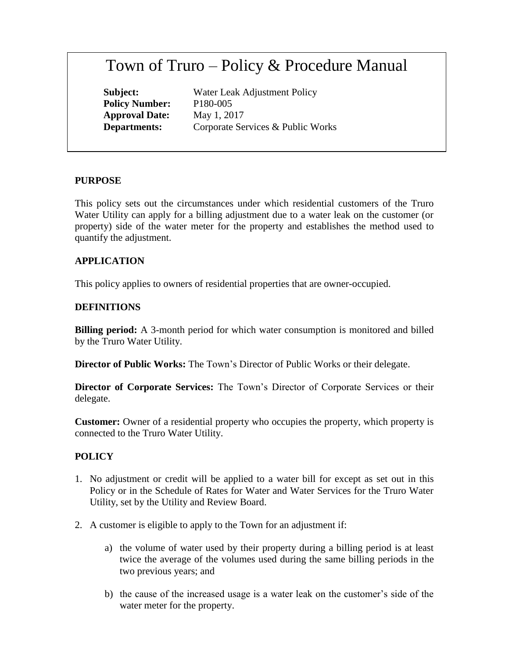# Town of Truro – Policy & Procedure Manual

**Policy Number:** P180-005 **Approval Date:** May 1, 2017

**Subject:** Water Leak Adjustment Policy **Departments:** Corporate Services & Public Works

#### **PURPOSE**

This policy sets out the circumstances under which residential customers of the Truro Water Utility can apply for a billing adjustment due to a water leak on the customer (or property) side of the water meter for the property and establishes the method used to quantify the adjustment.

### **APPLICATION**

This policy applies to owners of residential properties that are owner-occupied.

#### **DEFINITIONS**

**Billing period:** A 3-month period for which water consumption is monitored and billed by the Truro Water Utility.

**Director of Public Works:** The Town's Director of Public Works or their delegate.

**Director of Corporate Services:** The Town's Director of Corporate Services or their delegate.

**Customer:** Owner of a residential property who occupies the property, which property is connected to the Truro Water Utility.

#### **POLICY**

- 1. No adjustment or credit will be applied to a water bill for except as set out in this Policy or in the Schedule of Rates for Water and Water Services for the Truro Water Utility, set by the Utility and Review Board.
- 2. A customer is eligible to apply to the Town for an adjustment if:
	- a) the volume of water used by their property during a billing period is at least twice the average of the volumes used during the same billing periods in the two previous years; and
	- b) the cause of the increased usage is a water leak on the customer's side of the water meter for the property.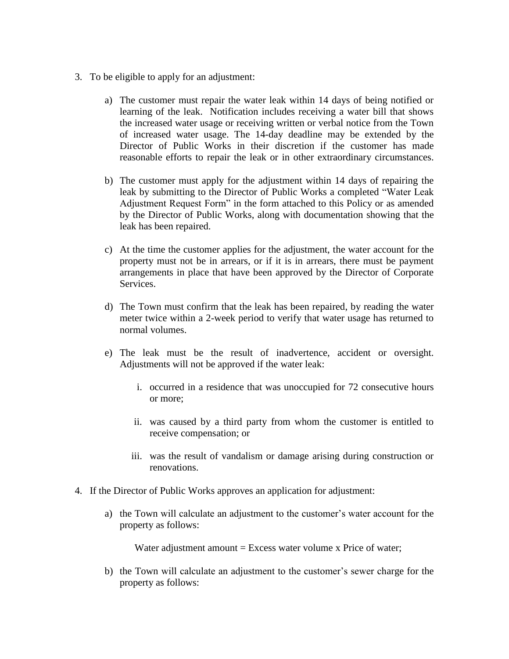- 3. To be eligible to apply for an adjustment:
	- a) The customer must repair the water leak within 14 days of being notified or learning of the leak. Notification includes receiving a water bill that shows the increased water usage or receiving written or verbal notice from the Town of increased water usage. The 14-day deadline may be extended by the Director of Public Works in their discretion if the customer has made reasonable efforts to repair the leak or in other extraordinary circumstances.
	- b) The customer must apply for the adjustment within 14 days of repairing the leak by submitting to the Director of Public Works a completed "Water Leak Adjustment Request Form" in the form attached to this Policy or as amended by the Director of Public Works, along with documentation showing that the leak has been repaired.
	- c) At the time the customer applies for the adjustment, the water account for the property must not be in arrears, or if it is in arrears, there must be payment arrangements in place that have been approved by the Director of Corporate Services.
	- d) The Town must confirm that the leak has been repaired, by reading the water meter twice within a 2-week period to verify that water usage has returned to normal volumes.
	- e) The leak must be the result of inadvertence, accident or oversight. Adjustments will not be approved if the water leak:
		- i. occurred in a residence that was unoccupied for 72 consecutive hours or more;
		- ii. was caused by a third party from whom the customer is entitled to receive compensation; or
		- iii. was the result of vandalism or damage arising during construction or renovations.
- 4. If the Director of Public Works approves an application for adjustment:
	- a) the Town will calculate an adjustment to the customer's water account for the property as follows:

Water adjustment amount  $=$  Excess water volume x Price of water;

b) the Town will calculate an adjustment to the customer's sewer charge for the property as follows: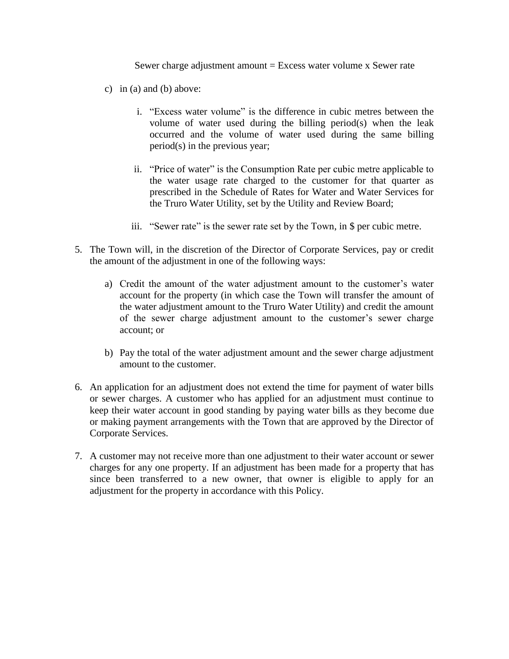Sewer charge adjustment amount  $=$  Excess water volume x Sewer rate

- c) in (a) and (b) above:
	- i. "Excess water volume" is the difference in cubic metres between the volume of water used during the billing period(s) when the leak occurred and the volume of water used during the same billing period(s) in the previous year;
	- ii. "Price of water" is the Consumption Rate per cubic metre applicable to the water usage rate charged to the customer for that quarter as prescribed in the Schedule of Rates for Water and Water Services for the Truro Water Utility, set by the Utility and Review Board;
	- iii. "Sewer rate" is the sewer rate set by the Town, in \$ per cubic metre.
- 5. The Town will, in the discretion of the Director of Corporate Services, pay or credit the amount of the adjustment in one of the following ways:
	- a) Credit the amount of the water adjustment amount to the customer's water account for the property (in which case the Town will transfer the amount of the water adjustment amount to the Truro Water Utility) and credit the amount of the sewer charge adjustment amount to the customer's sewer charge account; or
	- b) Pay the total of the water adjustment amount and the sewer charge adjustment amount to the customer.
- 6. An application for an adjustment does not extend the time for payment of water bills or sewer charges. A customer who has applied for an adjustment must continue to keep their water account in good standing by paying water bills as they become due or making payment arrangements with the Town that are approved by the Director of Corporate Services.
- 7. A customer may not receive more than one adjustment to their water account or sewer charges for any one property. If an adjustment has been made for a property that has since been transferred to a new owner, that owner is eligible to apply for an adjustment for the property in accordance with this Policy.